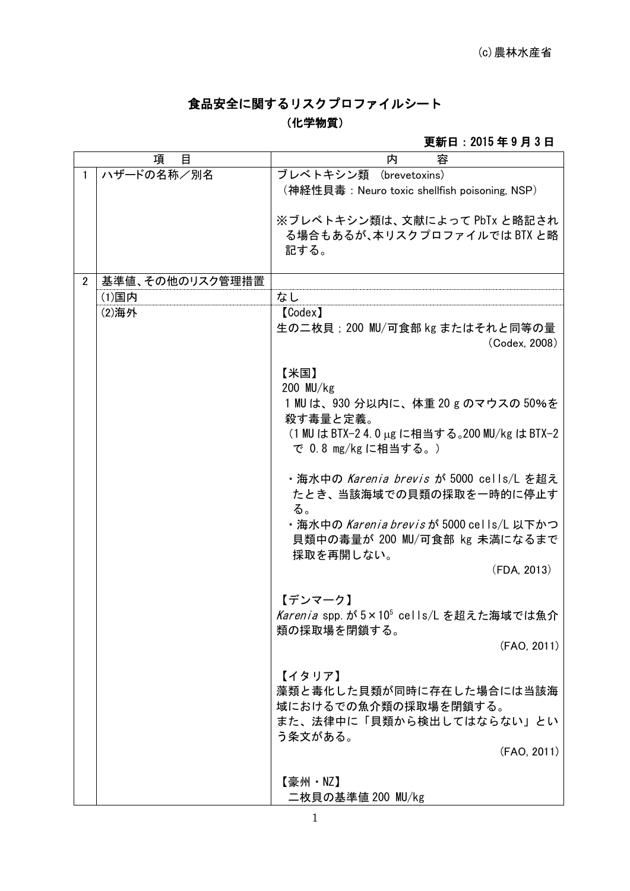# 食品安全に関するリスクプロファイルシート

## (化学物質)

#### 更新日:2015 年 9 月 3 日

| 項<br>目         |                 | 内<br>容                                           |
|----------------|-----------------|--------------------------------------------------|
| 1.             | ハザードの名称/別名      | ブレベトキシン類 (brevetoxins)                           |
|                |                 | (神経性貝毒:Neuro toxic shellfish poisoning, NSP)     |
|                |                 | ※ブレベトキシン類は、文献によって PbTx と略記され                     |
|                |                 | る場合もあるが、本リスクプロファイルでは BTX と略                      |
|                |                 | 記する。                                             |
|                |                 |                                                  |
| $\overline{2}$ | 基準値、その他のリスク管理措置 |                                                  |
|                | (1)国内           | なし                                               |
|                | (2)海外           | [Codex]                                          |
|                |                 | 生の二枚貝; 200 MU/可食部 kg またはそれと同等の量<br>(Codex, 2008) |
|                |                 |                                                  |
|                |                 | 【米国】                                             |
|                |                 | $200$ MU/kg                                      |
|                |                 | 1 MU は、930 分以内に、体重 20 g のマウスの 50%を               |
|                |                 | 殺す毒量と定義。                                         |
|                |                 | (1 MU は BTX-2 4.0 µg に相当する。200 MU/kg は BTX-2     |
|                |                 | で 0.8 mg/kgに相当する。)                               |
|                |                 | ・海水中の <i>Karenia brevis が</i> 5000 cells/L を超え   |
|                |                 | たとき、当該海域での貝類の採取を一時的に停止す                          |
|                |                 | る。                                               |
|                |                 | ・海水中の Karenia brevisが 5000 cells/L 以下かつ          |
|                |                 | 貝類中の毒量が 200 MU/可食部 kg 未満になるまで                    |
|                |                 | 採取を再開しない。                                        |
|                |                 | (FDA, 2013)                                      |
|                |                 |                                                  |
|                |                 | 【デンマーク】                                          |
|                |                 | Karenia spp. が 5×105 cells/L を超えた海域では魚介          |
|                |                 | 類の採取場を閉鎖する。                                      |
|                |                 | (FAO, 2011)                                      |
|                |                 | 【イタリア】                                           |
|                |                 | 藻類と毒化した貝類が同時に存在した場合には当該海                         |
|                |                 | 域におけるでの魚介類の採取場を閉鎖する。                             |
|                |                 | また、法律中に「貝類から検出してはならない」とい                         |
|                |                 | う条文がある。                                          |
|                |                 | (FAO, 2011)                                      |
|                |                 |                                                  |
|                |                 | 【豪州・NZ】                                          |
|                |                 | 二枚貝の基準値 200 MU/kg                                |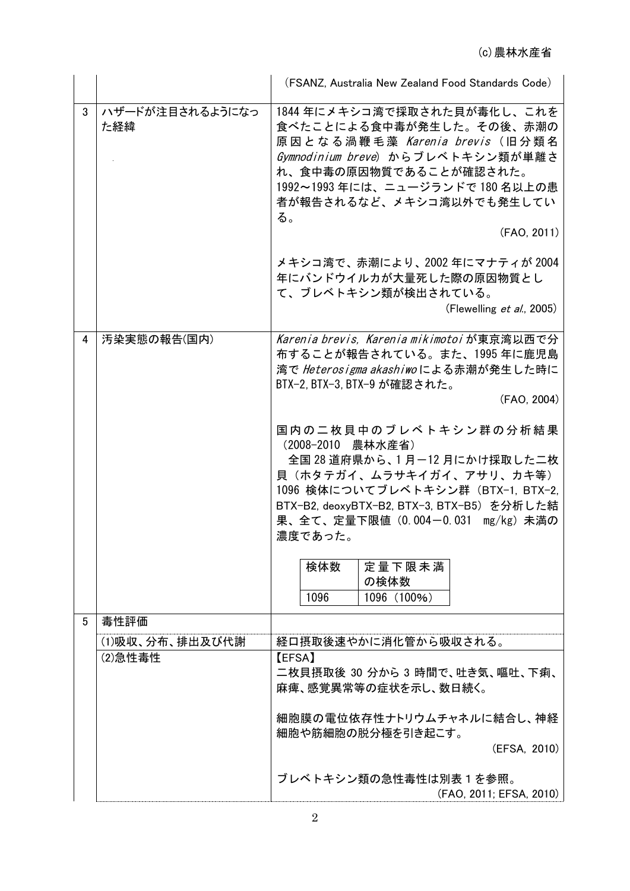|   |                        | (FSANZ, Australia New Zealand Food Standards Code)                                                                                                                                                                                                                                                                                                                                                                                                            |  |  |  |
|---|------------------------|---------------------------------------------------------------------------------------------------------------------------------------------------------------------------------------------------------------------------------------------------------------------------------------------------------------------------------------------------------------------------------------------------------------------------------------------------------------|--|--|--|
| 3 | ハザードが注目されるようになっ<br>た経緯 | 1844 年にメキシコ湾で採取された貝が毒化し、これを<br>食べたことによる食中毒が発生した。その後、赤潮の<br>原因となる渦鞭毛藻 Karenia brevis (旧分類名<br>Gymnodinium breve) からブレベトキシン類が単離さ<br>れ、食中毒の原因物質であることが確認された。<br>1992~1993年には、ニュージランドで180名以上の患<br>者が報告されるなど、メキシコ湾以外でも発生してい<br>る。<br>(FAO, 2011)<br>メキシコ湾で、赤潮により、2002 年にマナティが 2004<br>年にバンドウイルカが大量死した際の原因物質とし<br>て、ブレベトキシン類が検出されている。<br>(Flewelling $et$ al., 2005)                                                                                                 |  |  |  |
| 4 | 汚染実態の報告(国内)            | Karenia brevis, Karenia mikimotoi が東京湾以西で分<br>布することが報告されている。また、1995 年に鹿児島<br>湾で Heterosigma akashiwoによる赤潮が発生した時に<br>BTX-2, BTX-3, BTX-9 が確認された。<br>(FAO, 2004)<br>国内の二枚貝中のブレベトキシン群の分析結果<br>(2008-2010 農林水産省)<br>全国 28 道府県から、1月-12 月にかけ採取した二枚<br>貝(ホタテガイ、ムラサキイガイ、アサリ、カキ等)<br>1096 検体についてブレベトキシン群 (BTX-1, BTX-2,<br>BTX-B2, deoxyBTX-B2, BTX-3, BTX-B5) を分析した結<br>果、全て、定量下限値 (0.004-0.031 mg/kg) 未満の<br>濃度であった。<br>検体数<br>定量下限未満<br>の検体数<br>1096<br>1096 (100%) |  |  |  |
| 5 | 毒性評価                   |                                                                                                                                                                                                                                                                                                                                                                                                                                                               |  |  |  |
|   | (1)吸収、分布、排出及び代謝        | 経口摂取後速やかに消化管から吸収される。                                                                                                                                                                                                                                                                                                                                                                                                                                          |  |  |  |
|   | (2)急性毒性                | <b>(EFSA)</b><br>二枚貝摂取後 30 分から 3 時間で、吐き気、嘔吐、下痢、<br>麻痺、感覚異常等の症状を示し、数日続く。<br>細胞膜の電位依存性ナトリウムチャネルに結合し、神経<br>細胞や筋細胞の脱分極を引き起こす。<br>(EFSA, 2010)<br>ブレベトキシン類の急性毒性は別表1を参照。<br>(FAO, 2011; EFSA, 2010)                                                                                                                                                                                                                                                                 |  |  |  |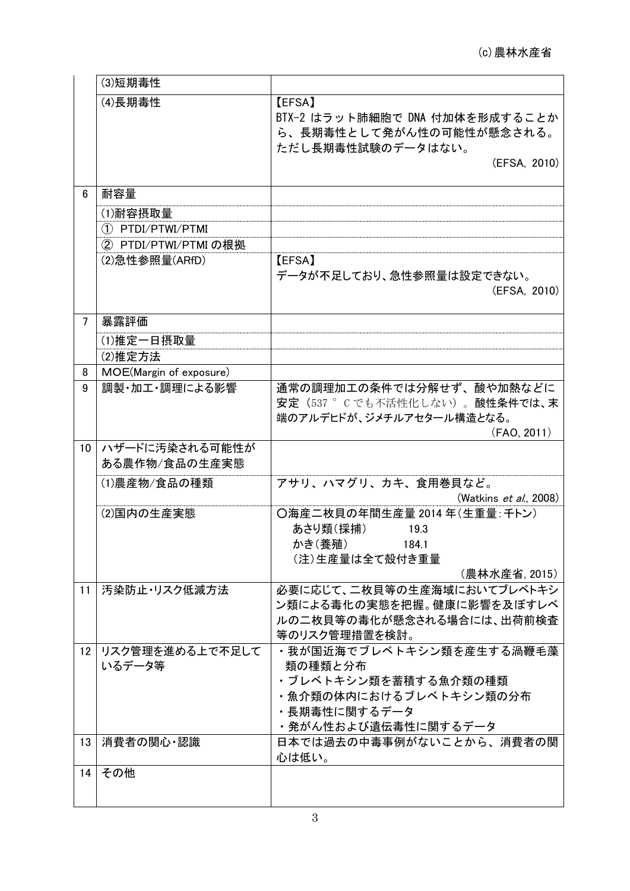|                | (3)短期毒性                                  |                                                                                                                              |
|----------------|------------------------------------------|------------------------------------------------------------------------------------------------------------------------------|
|                | (4)長期毒性                                  | <b>[EFSA]</b><br>BTX-2 はラット肺細胞で DNA 付加体を形成することか<br>ら、長期毒性として発がん性の可能性が懸念される。<br>ただし長期毒性試験のデータはない。<br>(EFSA, 2010)             |
| 6              | 耐容量                                      |                                                                                                                              |
|                | (1)耐容摂取量                                 |                                                                                                                              |
|                | 1 PTDI/PTWI/PTMI                         |                                                                                                                              |
|                | ② PTDI/PTWI/PTMI の根拠                     |                                                                                                                              |
|                | (2) 急性参照量(ARfD)                          | <b>[EFSA]</b><br>データが不足しており、急性参照量は設定できない。<br>(EFSA, 2010)                                                                    |
| $\overline{7}$ | 暴露評価                                     |                                                                                                                              |
|                | (1)推定一日摂取量                               |                                                                                                                              |
|                | (2)推定方法                                  |                                                                                                                              |
| 8<br>9         | MOE(Margin of exposure)<br>調製・加工・調理による影響 | 通常の調理加工の条件では分解せず、酸や加熱などに                                                                                                     |
|                |                                          | 安定 (537 °Cでも不活性化しない)。酸性条件では、末<br>端のアルデヒドが、ジメチルアセタール構造となる。<br>(FAO, 2011)                                                     |
| 10             | ハザードに汚染される可能性が<br>ある農作物/食品の生産実態          |                                                                                                                              |
|                | (1)農産物/食品の種類                             | アサリ、ハマグリ、カキ、食用巻貝など。<br>(Watkins <i>et al.</i> , 2008)                                                                        |
|                | (2)国内の生産実態                               | ○海産二枚貝の年間生産量 2014 年(生重量:千トン)<br>あさり類(採捕)<br>19.3<br>かき(養殖)<br>184.1<br>(注)生産量は全て殻付き重量<br>(農林水産省, 2015)                       |
| 11             | 汚染防止・リスク低減方法                             | 必要に応じて、二枚貝等の生産海域においてブレベトキシ<br>ン類による毒化の実態を把握。健康に影響を及ぼすレベ<br>ルの二枚貝等の毒化が懸念される場合には、出荷前検査<br>等のリスク管理措置を検討。                        |
| 12             | リスク管理を進める上で不足して<br>いるデータ等                | ・我が国近海でブレベトキシン類を産生する渦鞭毛藻<br>類の種類と分布<br>・ブレベトキシン類を蓄積する魚介類の種類<br>・魚介類の体内におけるブレベトキシン類の分布<br>・長期毒性に関するデータ<br>・発がん性および遺伝毒性に関するデータ |
| 13             | 消費者の関心・認識                                | 日本では過去の中毒事例がないことから、消費者の関<br>心は低い。                                                                                            |
| 14             | その他                                      |                                                                                                                              |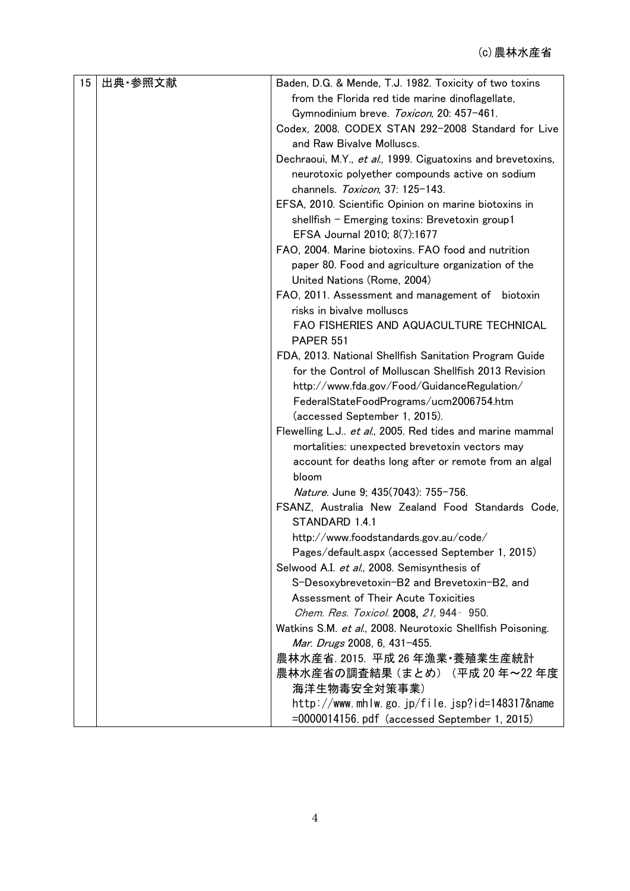| 15 | 出典·参照文献 | Baden, D.G. & Mende, T.J. 1982. Toxicity of two toxins      |
|----|---------|-------------------------------------------------------------|
|    |         | from the Florida red tide marine dinoflagellate,            |
|    |         | Gymnodinium breve. Toxicon, 20: 457-461.                    |
|    |         | Codex, 2008. CODEX STAN 292-2008 Standard for Live          |
|    |         | and Raw Bivalve Molluscs.                                   |
|    |         | Dechraoui, M.Y., et al., 1999. Ciguatoxins and brevetoxins, |
|    |         | neurotoxic polyether compounds active on sodium             |
|    |         | channels. Toxicon, 37: 125-143.                             |
|    |         | EFSA, 2010. Scientific Opinion on marine biotoxins in       |
|    |         | shellfish - Emerging toxins: Brevetoxin group1              |
|    |         | EFSA Journal 2010; 8(7):1677                                |
|    |         | FAO, 2004. Marine biotoxins. FAO food and nutrition         |
|    |         | paper 80. Food and agriculture organization of the          |
|    |         | United Nations (Rome, 2004)                                 |
|    |         | FAO, 2011. Assessment and management of biotoxin            |
|    |         | risks in bivalve molluscs                                   |
|    |         | FAO FISHERIES AND AQUACULTURE TECHNICAL                     |
|    |         | <b>PAPER 551</b>                                            |
|    |         | FDA, 2013. National Shellfish Sanitation Program Guide      |
|    |         | for the Control of Molluscan Shellfish 2013 Revision        |
|    |         | http://www.fda.gov/Food/GuidanceRegulation/                 |
|    |         | FederalStateFoodPrograms/ucm2006754.htm                     |
|    |         | (accessed September 1, 2015).                               |
|    |         | Flewelling L.J et al., 2005. Red tides and marine mammal    |
|    |         | mortalities: unexpected brevetoxin vectors may              |
|    |         | account for deaths long after or remote from an algal       |
|    |         | bloom                                                       |
|    |         | Nature. June 9; 435(7043): 755-756.                         |
|    |         | FSANZ, Australia New Zealand Food Standards Code,           |
|    |         | STANDARD 1.4.1                                              |
|    |         | http://www.foodstandards.gov.au/code/                       |
|    |         | Pages/default.aspx (accessed September 1, 2015)             |
|    |         | Selwood A.I. et al., 2008. Semisynthesis of                 |
|    |         | S-Desoxybrevetoxin-B2 and Brevetoxin-B2, and                |
|    |         | Assessment of Their Acute Toxicities                        |
|    |         | Chem. Res. Toxicol. 2008, 21, 944- 950.                     |
|    |         | Watkins S.M. et al., 2008. Neurotoxic Shellfish Poisoning.  |
|    |         | Mar. Drugs 2008, 6, 431-455.                                |
|    |         | 農林水産省. 2015. 平成 26 年漁業·養殖業生産統計                              |
|    |         | 農林水産省の調査結果 (まとめ) (平成 20 年~22 年度                             |
|    |         | 海洋生物毒安全対策事業)                                                |
|    |         | http://www.mhlw.go.jp/file.jsp?id=148317&name               |
|    |         | $=0000014156$ . pdf (accessed September 1, 2015)            |